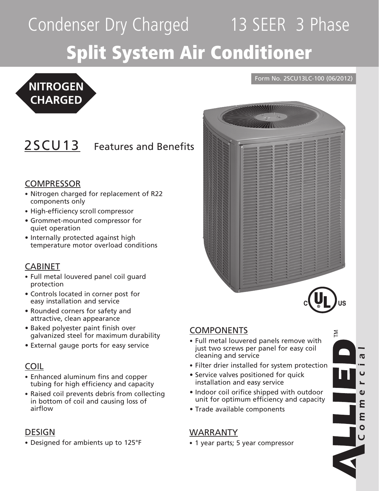# Condenser Dry Charged 13 SEER 3 Phase Split System Air Conditioner

## **NITROGEN CHARGED**

### 2SCU13 Features and Benefits

#### **COMPRESSOR**

- Nitrogen charged for replacement of R22 components only
- High-efficiency scroll compressor
- • Grommet-mounted compressor for quiet operation
- Internally protected against high temperature motor overload conditions

#### CABINET

- Full metal louvered panel coil guard protection
- • Controls located in corner post for easy installation and service
- • Rounded corners for safety and attractive, clean appearance
- Baked polyester paint finish over galvanized steel for maximum durability
- External gauge ports for easy service

#### COIL

- Enhanced aluminum fins and copper tubing for high efficiency and capacity
- Raised coil prevents debris from collecting in bottom of coil and causing loss of airflow

#### DESIGN

• Designed for ambients up to 125°F

#### **COMPONENTS**

• Full metal louvered panels remove with just two screws per panel for easy coil cleaning and service

Form No. 2SCU13LC-100 (06/2012)

- Filter drier installed for system protection
- Service valves positioned for quick installation and easy service
- Indoor coil orifice shipped with outdoor unit for optimum efficiency and capacity
- Trade available components

#### WARRANTY

• 1 year parts; 5 year compressor

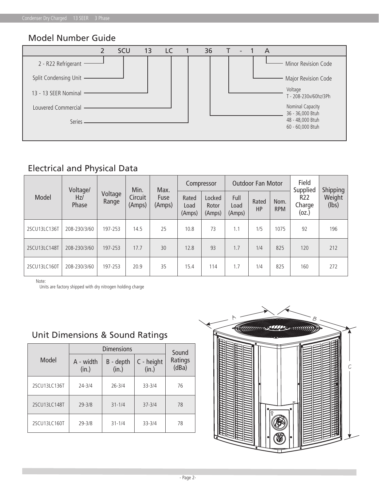#### Model Number Guide



#### Electrical and Physical Data

|              | Voltage/     |                  | Min.              | Max.           | Compressor              |                           | <b>Outdoor Fan Motor</b> |             |                    | Field<br>Supplied      | Shipping        |
|--------------|--------------|------------------|-------------------|----------------|-------------------------|---------------------------|--------------------------|-------------|--------------------|------------------------|-----------------|
| Model        | Hz/<br>Phase | Voltage<br>Range | Circuit<br>(Amps) | Fuse<br>(Amps) | Rated<br>Load<br>(Amps) | Locked<br>Rotor<br>(Amps) | Full<br>Load<br>(Amps)   | Rated<br>HP | Nom.<br><b>RPM</b> | R22<br>Charge<br>(oz.) | Weight<br>(lbs) |
| 2SCU13LC136T | 208-230/3/60 | 197-253          | 14.5              | 25             | 10.8                    | 73                        | 1.1                      | 1/5         | 1075               | 92                     | 196             |
| 2SCU13LC148T | 208-230/3/60 | 197-253          | 17.7              | 30             | 12.8                    | 93                        | 1.7                      | 1/4         | 825                | 120                    | 212             |
| 2SCU13LC160T | 208-230/3/60 | 197-253          | 20.9              | 35             | 15.4                    | 114                       | 1.7                      | 1/4         | 825                | 160                    | 272             |

Note:

Units are factory shipped with dry nitrogen holding charge

|                    | Sound              |                     |                  |  |  |
|--------------------|--------------------|---------------------|------------------|--|--|
| A - width<br>(in.) | B - depth<br>(in.) | C - height<br>(in.) | Ratings<br>(dBa) |  |  |
| $24 - 3/4$         | $26 - 3/4$         | $33 - 3/4$          | 76               |  |  |
| $29 - 3/8$         | $31 - 1/4$         | $37 - 3/4$          | 78               |  |  |
| $29 - 3/8$         | $31 - 1/4$         | $33 - 3/4$          | 78               |  |  |
|                    |                    | <b>Dimensions</b>   |                  |  |  |

#### Unit Dimensions & Sound Ratings

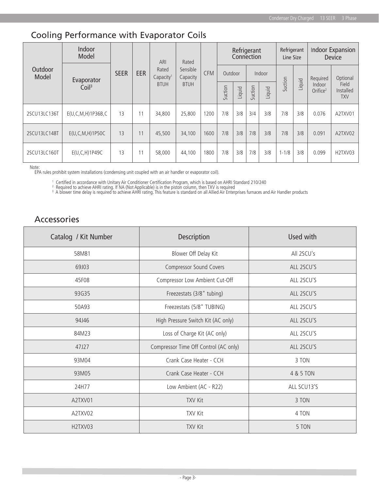#### Cooling Performance with Evaporator Coils

| Outdoor<br>Model | Indoor<br>Model                 | <b>SEER</b> | <b>EER</b> | ARI<br>Rated<br>Capacity <sup>1</sup><br><b>BTUH</b> | Rated<br>Sensible<br>Capacity<br><b>BTUH</b> | <b>CFM</b> | Refrigerant<br>Connection |        |         | Refrigerant<br>Line Size |           | Indoor Expansion<br>Device |                                |                                  |
|------------------|---------------------------------|-------------|------------|------------------------------------------------------|----------------------------------------------|------------|---------------------------|--------|---------|--------------------------|-----------|----------------------------|--------------------------------|----------------------------------|
|                  | Evaporator<br>Coil <sup>3</sup> |             |            |                                                      |                                              |            | Outdoor                   |        |         | Indoor                   |           |                            | Required                       | Optional                         |
|                  |                                 |             |            |                                                      |                                              |            | Suction                   | Liquid | Suction | Liquid                   | Suction   | Liquid                     | Indoor<br>Orifice <sup>2</sup> | Field<br>Installed<br><b>TXV</b> |
| 2SCU13LC136T     | $E(U, C, M, H)$ 1P36B,C         | 13          | 11         | 34,800                                               | 25,800                                       | 1200       | 7/8                       | 3/8    | 3/4     | 3/8                      | 7/8       | 3/8                        | 0.076                          | A2TXV01                          |
| 2SCU13LC148T     | $E(U, C, M, H)$ 1P50C           | 13          | 11         | 45,500                                               | 34,100                                       | 1600       | 7/8                       | 3/8    | 7/8     | 3/8                      | 7/8       | 3/8                        | 0.091                          | A2TXV02                          |
| 2SCU13LC160T     | E(U, C, H) 1P49C                | 13          | 11         | 58,000                                               | 44,100                                       | 1800       | 7/8                       | 3/8    | 7/8     | 3/8                      | $1 - 1/8$ | 3/8                        | 0.099                          | H2TXV03                          |

Note:

EPA rules prohibit system installations (condensing unit coupled with an air handler or evaporator coil).

<sup>1</sup> Certified in accordance with Unitary Air Conditioner Certification Program, which is based on AHRI Standard 210/240<br><sup>2</sup> Required to achieve AHRI rating. If NA (Not Applicable) is in the piston column, then TXV is requi

#### Accessories

| Catalog / Kit Number             | Description                           | Used with   |  |  |  |  |
|----------------------------------|---------------------------------------|-------------|--|--|--|--|
| 58M81                            | Blower Off Delay Kit                  | All 2SCU's  |  |  |  |  |
| 69J03                            | Compressor Sound Covers               | ALL 2SCU'S  |  |  |  |  |
| 45F08                            | Compressor Low Ambient Cut-Off        | ALL 2SCU'S  |  |  |  |  |
| 93G35                            | Freezestats (3/8" tubing)             | ALL 2SCU'S  |  |  |  |  |
| 50A93                            | Freezestats (5/8" TUBING)             | ALL 2SCU'S  |  |  |  |  |
| 94J46                            | High Pressure Switch Kit (AC only)    | ALL 2SCU'S  |  |  |  |  |
| 84M23                            | Loss of Charge Kit (AC only)          | ALL 2SCU'S  |  |  |  |  |
| 47J27                            | Compressor Time Off Control (AC only) | ALL 2SCU'S  |  |  |  |  |
| 93M04                            | Crank Case Heater - CCH               | 3 TON       |  |  |  |  |
| 93M05                            | Crank Case Heater - CCH               | 4 & 5 TON   |  |  |  |  |
| 24H77                            | Low Ambient (AC - R22)                | ALL SCU13'S |  |  |  |  |
| A2TXV01                          | <b>TXV Kit</b>                        | 3 TON       |  |  |  |  |
| A2TXV02                          | <b>TXV Kit</b>                        | 4 TON       |  |  |  |  |
| H <sub>2</sub> TXV <sub>03</sub> | <b>TXV Kit</b>                        | 5 TON       |  |  |  |  |